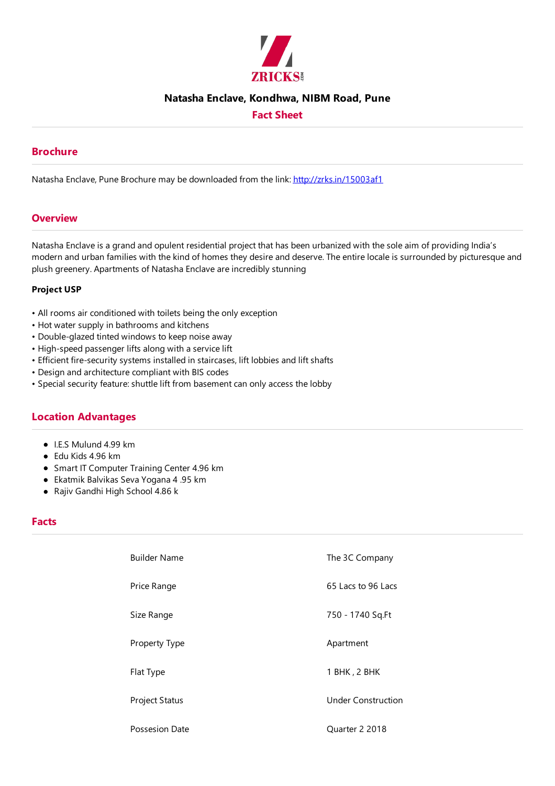

#### **Natasha Enclave, Kondhwa, NIBM Road, Pune**

## **Fact Sheet**

#### **Brochure**

Natasha Enclave, Pune Brochure may be downloaded from the link: http://zrks.in/15003af1

#### **Overview**

Natasha Enclave is a grand and opulent residential project that has been urbanized with the sole aim of providing India's modern and urban families with the kind of homes they desire and deserve. The entire locale is surrounded by picturesque and plush greenery. Apartments of Natasha Enclave are incredibly stunning

#### **Project USP**

- All rooms air conditioned with toilets being the only exception
- Hot water supply in bathrooms and kitchens
- Double-glazed tinted windows to keep noise away
- High-speed passenger lifts along with a service lift
- Efficient fire-security systems installed in staircases, lift lobbies and lift shafts
- Design and architecture compliant with BIS codes
- Special security feature: shuttle lift from basement can only access the lobby

## **Location Advantages**

- $\bullet$  LES Mulund 4.99 km
- $\bullet$  Fdu Kids 4.96 km
- **Smart IT Computer Training Center 4.96 km**
- Ekatmik Balvikas Seva Yogana 4 .95 km
- Rajiv Gandhi High School 4.86 k

### **Facts**

| <b>Builder Name</b>   | The 3C Company            |
|-----------------------|---------------------------|
| Price Range           | 65 Lacs to 96 Lacs        |
| Size Range            | 750 - 1740 Sq.Ft          |
| Property Type         | Apartment                 |
| Flat Type             | 1 BHK, 2 BHK              |
| <b>Project Status</b> | <b>Under Construction</b> |
| Possesion Date        | Quarter 2 2018            |